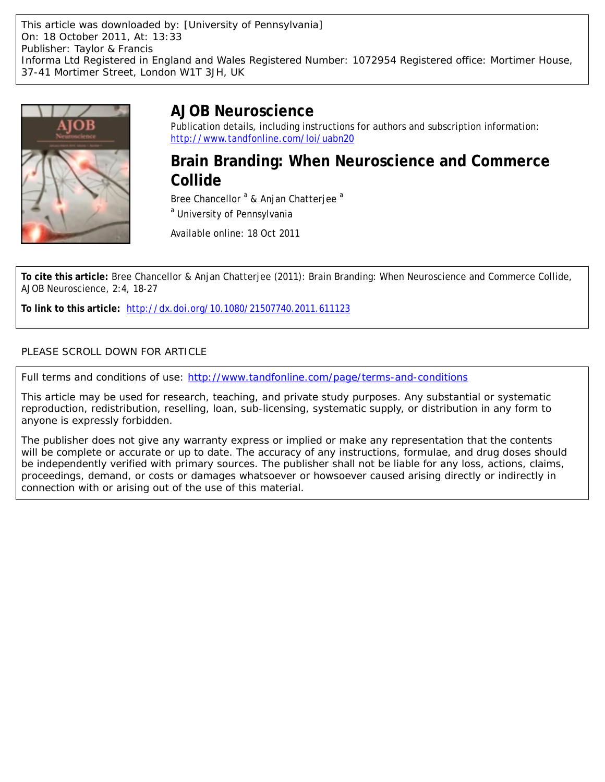This article was downloaded by: [University of Pennsylvania] On: 18 October 2011, At: 13:33 Publisher: Taylor & Francis Informa Ltd Registered in England and Wales Registered Number: 1072954 Registered office: Mortimer House, 37-41 Mortimer Street, London W1T 3JH, UK



# **AJOB Neuroscience**

Publication details, including instructions for authors and subscription information: <http://www.tandfonline.com/loi/uabn20>

# **Brain Branding: When Neuroscience and Commerce Collide**

Bree Chancellor <sup>a</sup> & Anjan Chatterjee <sup>a</sup>

<sup>a</sup> University of Pennsylvania

Available online: 18 Oct 2011

**To cite this article:** Bree Chancellor & Anjan Chatterjee (2011): Brain Branding: When Neuroscience and Commerce Collide, AJOB Neuroscience, 2:4, 18-27

**To link to this article:** <http://dx.doi.org/10.1080/21507740.2011.611123>

## PLEASE SCROLL DOWN FOR ARTICLE

Full terms and conditions of use:<http://www.tandfonline.com/page/terms-and-conditions>

This article may be used for research, teaching, and private study purposes. Any substantial or systematic reproduction, redistribution, reselling, loan, sub-licensing, systematic supply, or distribution in any form to anyone is expressly forbidden.

The publisher does not give any warranty express or implied or make any representation that the contents will be complete or accurate or up to date. The accuracy of any instructions, formulae, and drug doses should be independently verified with primary sources. The publisher shall not be liable for any loss, actions, claims, proceedings, demand, or costs or damages whatsoever or howsoever caused arising directly or indirectly in connection with or arising out of the use of this material.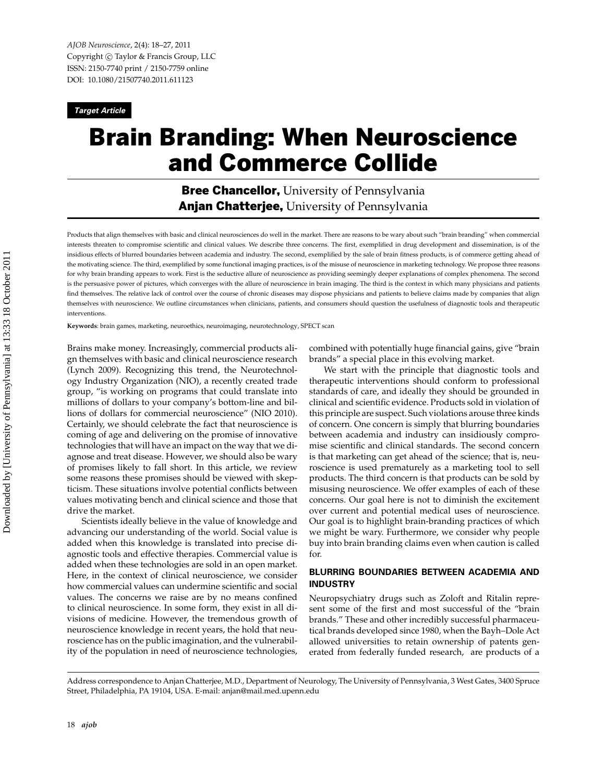#### *Target Article*

# Brain Branding: When Neuroscience and Commerce Collide

**Bree Chancellor, University of Pennsylvania Anjan Chatterjee,** University of Pennsylvania

Products that align themselves with basic and clinical neurosciences do well in the market. There are reasons to be wary about such "brain branding" when commercial interests threaten to compromise scientific and clinical values. We describe three concerns. The first, exemplified in drug development and dissemination, is of the insidious effects of blurred boundaries between academia and industry. The second, exemplified by the sale of brain fitness products, is of commerce getting ahead of the motivating science. The third, exemplified by some functional imaging practices, is of the misuse of neuroscience in marketing technology. We propose three reasons for why brain branding appears to work. First is the seductive allure of neuroscience as providing seemingly deeper explanations of complex phenomena. The second is the persuasive power of pictures, which converges with the allure of neuroscience in brain imaging. The third is the context in which many physicians and patients find themselves. The relative lack of control over the course of chronic diseases may dispose physicians and patients to believe claims made by companies that align themselves with neuroscience. We outline circumstances when clinicians, patients, and consumers should question the usefulness of diagnostic tools and therapeutic interventions.

**Keywords**: brain games, marketing, neuroethics, neuroimaging, neurotechnology, SPECT scan

Brains make money. Increasingly, commercial products align themselves with basic and clinical neuroscience research (Lynch 2009). Recognizing this trend, the Neurotechnology Industry Organization (NIO), a recently created trade group, "is working on programs that could translate into millions of dollars to your company's bottom-line and billions of dollars for commercial neuroscience" (NIO 2010). Certainly, we should celebrate the fact that neuroscience is coming of age and delivering on the promise of innovative technologies that will have an impact on the way that we diagnose and treat disease. However, we should also be wary of promises likely to fall short. In this article, we review some reasons these promises should be viewed with skepticism. These situations involve potential conflicts between values motivating bench and clinical science and those that drive the market.

Scientists ideally believe in the value of knowledge and advancing our understanding of the world. Social value is added when this knowledge is translated into precise diagnostic tools and effective therapies. Commercial value is added when these technologies are sold in an open market. Here, in the context of clinical neuroscience, we consider how commercial values can undermine scientific and social values. The concerns we raise are by no means confined to clinical neuroscience. In some form, they exist in all divisions of medicine. However, the tremendous growth of neuroscience knowledge in recent years, the hold that neuroscience has on the public imagination, and the vulnerability of the population in need of neuroscience technologies,

combined with potentially huge financial gains, give "brain brands" a special place in this evolving market.

We start with the principle that diagnostic tools and therapeutic interventions should conform to professional standards of care, and ideally they should be grounded in clinical and scientific evidence. Products sold in violation of this principle are suspect. Such violations arouse three kinds of concern. One concern is simply that blurring boundaries between academia and industry can insidiously compromise scientific and clinical standards. The second concern is that marketing can get ahead of the science; that is, neuroscience is used prematurely as a marketing tool to sell products. The third concern is that products can be sold by misusing neuroscience. We offer examples of each of these concerns. Our goal here is not to diminish the excitement over current and potential medical uses of neuroscience. Our goal is to highlight brain-branding practices of which we might be wary. Furthermore, we consider why people buy into brain branding claims even when caution is called for.

#### **BLURRING BOUNDARIES BETWEEN ACADEMIA AND INDUSTRY**

Neuropsychiatry drugs such as Zoloft and Ritalin represent some of the first and most successful of the "brain brands." These and other incredibly successful pharmaceutical brands developed since 1980, when the Bayh–Dole Act allowed universities to retain ownership of patents generated from federally funded research, are products of a

Address correspondence to Anjan Chatterjee, M.D., Department of Neurology, The University of Pennsylvania, 3 West Gates, 3400 Spruce Street, Philadelphia, PA 19104, USA. E-mail: anjan@mail.med.upenn.edu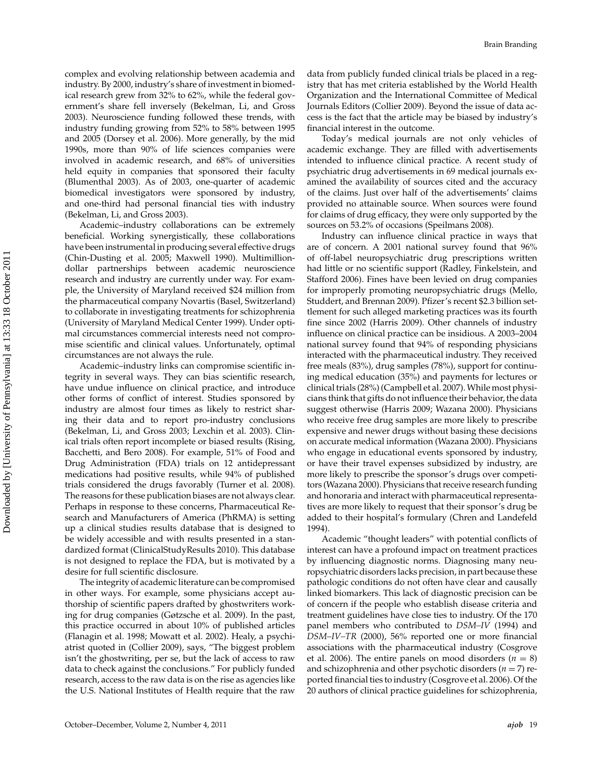complex and evolving relationship between academia and industry. By 2000, industry's share of investment in biomedical research grew from 32% to 62%, while the federal government's share fell inversely (Bekelman, Li, and Gross 2003). Neuroscience funding followed these trends, with industry funding growing from 52% to 58% between 1995 and 2005 (Dorsey et al. 2006). More generally, by the mid 1990s, more than 90% of life sciences companies were involved in academic research, and 68% of universities held equity in companies that sponsored their faculty (Blumenthal 2003). As of 2003, one-quarter of academic biomedical investigators were sponsored by industry, and one-third had personal financial ties with industry (Bekelman, Li, and Gross 2003).

Academic–industry collaborations can be extremely beneficial. Working synergistically, these collaborations have been instrumental in producing several effective drugs (Chin-Dusting et al. 2005; Maxwell 1990). Multimilliondollar partnerships between academic neuroscience research and industry are currently under way. For example, the University of Maryland received \$24 million from the pharmaceutical company Novartis (Basel, Switzerland) to collaborate in investigating treatments for schizophrenia (University of Maryland Medical Center 1999). Under optimal circumstances commercial interests need not compromise scientific and clinical values. Unfortunately, optimal circumstances are not always the rule.

Academic–industry links can compromise scientific integrity in several ways. They can bias scientific research, have undue influence on clinical practice, and introduce other forms of conflict of interest. Studies sponsored by industry are almost four times as likely to restrict sharing their data and to report pro-industry conclusions (Bekelman, Li, and Gross 2003; Lexchin et al. 2003). Clinical trials often report incomplete or biased results (Rising, Bacchetti, and Bero 2008). For example, 51% of Food and Drug Administration (FDA) trials on 12 antidepressant medications had positive results, while 94% of published trials considered the drugs favorably (Turner et al. 2008). The reasons for these publication biases are not always clear. Perhaps in response to these concerns, Pharmaceutical Research and Manufacturers of America (PhRMA) is setting up a clinical studies results database that is designed to be widely accessible and with results presented in a standardized format (ClinicalStudyResults 2010). This database is not designed to replace the FDA, but is motivated by a desire for full scientific disclosure.

The integrity of academic literature can be compromised in other ways. For example, some physicians accept authorship of scientific papers drafted by ghostwriters working for drug companies (Gøtzsche et al. 2009). In the past, this practice occurred in about 10% of published articles (Flanagin et al. 1998; Mowatt et al. 2002). Healy, a psychiatrist quoted in (Collier 2009), says, "The biggest problem isn't the ghostwriting, per se, but the lack of access to raw data to check against the conclusions." For publicly funded research, access to the raw data is on the rise as agencies like the U.S. National Institutes of Health require that the raw

data from publicly funded clinical trials be placed in a registry that has met criteria established by the World Health Organization and the International Committee of Medical Journals Editors (Collier 2009). Beyond the issue of data access is the fact that the article may be biased by industry's financial interest in the outcome.

Today's medical journals are not only vehicles of academic exchange. They are filled with advertisements intended to influence clinical practice. A recent study of psychiatric drug advertisements in 69 medical journals examined the availability of sources cited and the accuracy of the claims. Just over half of the advertisements' claims provided no attainable source. When sources were found for claims of drug efficacy, they were only supported by the sources on 53.2% of occasions (Speilmans 2008).

Industry can influence clinical practice in ways that are of concern. A 2001 national survey found that 96% of off-label neuropsychiatric drug prescriptions written had little or no scientific support (Radley, Finkelstein, and Stafford 2006). Fines have been levied on drug companies for improperly promoting neuropsychiatric drugs (Mello, Studdert, and Brennan 2009). Pfizer's recent \$2.3 billion settlement for such alleged marketing practices was its fourth fine since 2002 (Harris 2009). Other channels of industry influence on clinical practice can be insidious. A 2003–2004 national survey found that 94% of responding physicians interacted with the pharmaceutical industry. They received free meals (83%), drug samples (78%), support for continuing medical education (35%) and payments for lectures or clinical trials (28%) (Campbell et al. 2007).While most physicians think that gifts do not influence their behavior, the data suggest otherwise (Harris 2009; Wazana 2000). Physicians who receive free drug samples are more likely to prescribe expensive and newer drugs without basing these decisions on accurate medical information (Wazana 2000). Physicians who engage in educational events sponsored by industry, or have their travel expenses subsidized by industry, are more likely to prescribe the sponsor's drugs over competitors (Wazana 2000). Physicians that receive research funding and honoraria and interact with pharmaceutical representatives are more likely to request that their sponsor's drug be added to their hospital's formulary (Chren and Landefeld 1994).

Academic "thought leaders" with potential conflicts of interest can have a profound impact on treatment practices by influencing diagnostic norms. Diagnosing many neuropsychiatric disorders lacks precision, in part because these pathologic conditions do not often have clear and causally linked biomarkers. This lack of diagnostic precision can be of concern if the people who establish disease criteria and treatment guidelines have close ties to industry. Of the 170 panel members who contributed to *DSM–IV* (1994) and *DSM–IV–TR* (2000), 56% reported one or more financial associations with the pharmaceutical industry (Cosgrove et al. 2006). The entire panels on mood disorders  $(n = 8)$ and schizophrenia and other psychotic disorders  $(n = 7)$  reported financial ties to industry (Cosgrove et al. 2006). Of the 20 authors of clinical practice guidelines for schizophrenia,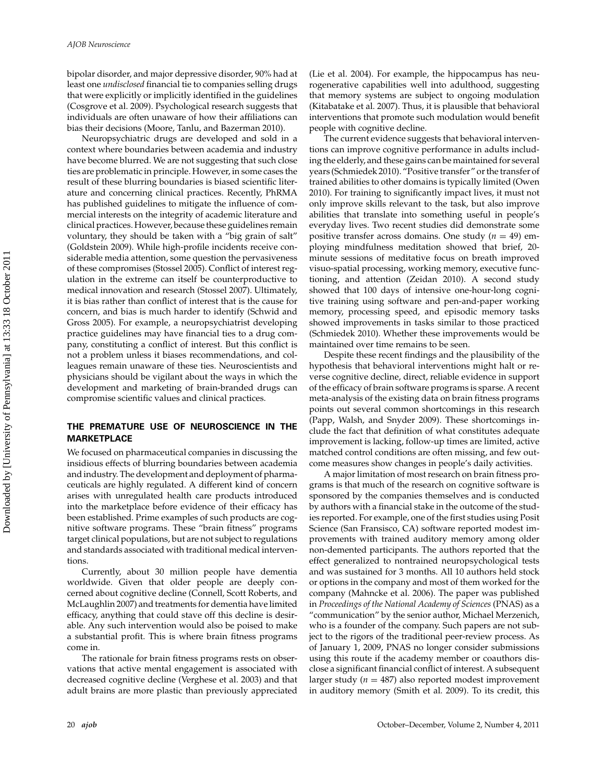bipolar disorder, and major depressive disorder, 90% had at least one *undisclosed* financial tie to companies selling drugs that were explicitly or implicitly identified in the guidelines (Cosgrove et al. 2009). Psychological research suggests that individuals are often unaware of how their affiliations can bias their decisions (Moore, Tanlu, and Bazerman 2010).

Neuropsychiatric drugs are developed and sold in a context where boundaries between academia and industry have become blurred. We are not suggesting that such close ties are problematic in principle. However, in some cases the result of these blurring boundaries is biased scientific literature and concerning clinical practices. Recently, PhRMA has published guidelines to mitigate the influence of commercial interests on the integrity of academic literature and clinical practices. However, because these guidelines remain voluntary, they should be taken with a "big grain of salt" (Goldstein 2009). While high-profile incidents receive considerable media attention, some question the pervasiveness of these compromises (Stossel 2005). Conflict of interest regulation in the extreme can itself be counterproductive to medical innovation and research (Stossel 2007). Ultimately, it is bias rather than conflict of interest that is the cause for concern, and bias is much harder to identify (Schwid and Gross 2005). For example, a neuropsychiatrist developing practice guidelines may have financial ties to a drug company, constituting a conflict of interest. But this conflict is not a problem unless it biases recommendations, and colleagues remain unaware of these ties. Neuroscientists and physicians should be vigilant about the ways in which the development and marketing of brain-branded drugs can compromise scientific values and clinical practices.

## **THE PREMATURE USE OF NEUROSCIENCE IN THE MARKETPLACE**

We focused on pharmaceutical companies in discussing the insidious effects of blurring boundaries between academia and industry. The development and deployment of pharmaceuticals are highly regulated. A different kind of concern arises with unregulated health care products introduced into the marketplace before evidence of their efficacy has been established. Prime examples of such products are cognitive software programs. These "brain fitness" programs target clinical populations, but are not subject to regulations and standards associated with traditional medical interventions.

Currently, about 30 million people have dementia worldwide. Given that older people are deeply concerned about cognitive decline (Connell, Scott Roberts, and McLaughlin 2007) and treatments for dementia have limited efficacy, anything that could stave off this decline is desirable. Any such intervention would also be poised to make a substantial profit. This is where brain fitness programs come in.

The rationale for brain fitness programs rests on observations that active mental engagement is associated with decreased cognitive decline (Verghese et al. 2003) and that adult brains are more plastic than previously appreciated (Lie et al. 2004). For example, the hippocampus has neurogenerative capabilities well into adulthood, suggesting that memory systems are subject to ongoing modulation (Kitabatake et al. 2007). Thus, it is plausible that behavioral interventions that promote such modulation would benefit people with cognitive decline.

The current evidence suggests that behavioral interventions can improve cognitive performance in adults including the elderly, and these gains can be maintained for several years (Schmiedek 2010). "Positive transfer" or the transfer of trained abilities to other domains is typically limited (Owen 2010). For training to significantly impact lives, it must not only improve skills relevant to the task, but also improve abilities that translate into something useful in people's everyday lives. Two recent studies did demonstrate some positive transfer across domains. One study  $(n = 49)$  employing mindfulness meditation showed that brief, 20 minute sessions of meditative focus on breath improved visuo-spatial processing, working memory, executive functioning, and attention (Zeidan 2010). A second study showed that 100 days of intensive one-hour-long cognitive training using software and pen-and-paper working memory, processing speed, and episodic memory tasks showed improvements in tasks similar to those practiced (Schmiedek 2010). Whether these improvements would be maintained over time remains to be seen.

Despite these recent findings and the plausibility of the hypothesis that behavioral interventions might halt or reverse cognitive decline, direct, reliable evidence in support of the efficacy of brain software programs is sparse. A recent meta-analysis of the existing data on brain fitness programs points out several common shortcomings in this research (Papp, Walsh, and Snyder 2009). These shortcomings include the fact that definition of what constitutes adequate improvement is lacking, follow-up times are limited, active matched control conditions are often missing, and few outcome measures show changes in people's daily activities.

A major limitation of most research on brain fitness programs is that much of the research on cognitive software is sponsored by the companies themselves and is conducted by authors with a financial stake in the outcome of the studies reported. For example, one of the first studies using Posit Science (San Fransisco, CA) software reported modest improvements with trained auditory memory among older non-demented participants. The authors reported that the effect generalized to nontrained neuropsychological tests and was sustained for 3 months. All 10 authors held stock or options in the company and most of them worked for the company (Mahncke et al. 2006). The paper was published in *Proceedings of the National Academy of Sciences* (PNAS) as a "communication" by the senior author, Michael Merzenich, who is a founder of the company. Such papers are not subject to the rigors of the traditional peer-review process. As of January 1, 2009, PNAS no longer consider submissions using this route if the academy member or coauthors disclose a significant financial conflict of interest. A subsequent larger study ( $n = 487$ ) also reported modest improvement in auditory memory (Smith et al. 2009). To its credit, this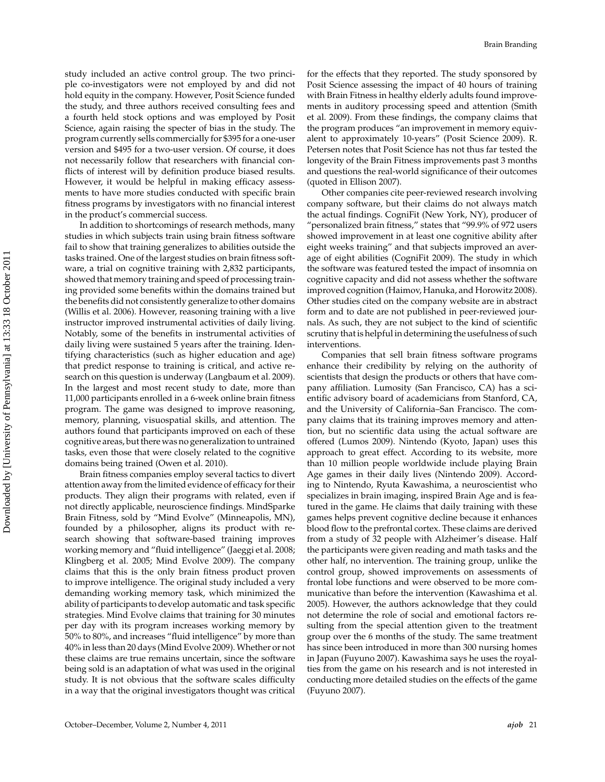study included an active control group. The two principle co-investigators were not employed by and did not hold equity in the company. However, Posit Science funded the study, and three authors received consulting fees and a fourth held stock options and was employed by Posit Science, again raising the specter of bias in the study. The program currently sells commercially for \$395 for a one-user version and \$495 for a two-user version. Of course, it does not necessarily follow that researchers with financial conflicts of interest will by definition produce biased results. However, it would be helpful in making efficacy assessments to have more studies conducted with specific brain fitness programs by investigators with no financial interest in the product's commercial success.

In addition to shortcomings of research methods, many studies in which subjects train using brain fitness software fail to show that training generalizes to abilities outside the tasks trained. One of the largest studies on brain fitness software, a trial on cognitive training with 2,832 participants, showed that memory training and speed of processing training provided some benefits within the domains trained but the benefits did not consistently generalize to other domains (Willis et al. 2006). However, reasoning training with a live instructor improved instrumental activities of daily living. Notably, some of the benefits in instrumental activities of daily living were sustained 5 years after the training. Identifying characteristics (such as higher education and age) that predict response to training is critical, and active research on this question is underway (Langbaum et al. 2009). In the largest and most recent study to date, more than 11,000 participants enrolled in a 6-week online brain fitness program. The game was designed to improve reasoning, memory, planning, visuospatial skills, and attention. The authors found that participants improved on each of these cognitive areas, but there was no generalization to untrained tasks, even those that were closely related to the cognitive domains being trained (Owen et al. 2010).

Brain fitness companies employ several tactics to divert attention away from the limited evidence of efficacy for their products. They align their programs with related, even if not directly applicable, neuroscience findings. MindSparke Brain Fitness, sold by "Mind Evolve" (Minneapolis, MN), founded by a philosopher, aligns its product with research showing that software-based training improves working memory and "fluid intelligence" (Jaeggi et al. 2008; Klingberg et al. 2005; Mind Evolve 2009). The company claims that this is the only brain fitness product proven to improve intelligence. The original study included a very demanding working memory task, which minimized the ability of participants to develop automatic and task specific strategies. Mind Evolve claims that training for 30 minutes per day with its program increases working memory by 50% to 80%, and increases "fluid intelligence" by more than 40% in less than 20 days (Mind Evolve 2009). Whether or not these claims are true remains uncertain, since the software being sold is an adaptation of what was used in the original study. It is not obvious that the software scales difficulty in a way that the original investigators thought was critical for the effects that they reported. The study sponsored by Posit Science assessing the impact of 40 hours of training with Brain Fitness in healthy elderly adults found improvements in auditory processing speed and attention (Smith et al. 2009). From these findings, the company claims that the program produces "an improvement in memory equivalent to approximately 10-years" (Posit Science 2009). R. Petersen notes that Posit Science has not thus far tested the longevity of the Brain Fitness improvements past 3 months and questions the real-world significance of their outcomes (quoted in Ellison 2007).

Other companies cite peer-reviewed research involving company software, but their claims do not always match the actual findings. CogniFit (New York, NY), producer of "personalized brain fitness," states that "99.9% of 972 users showed improvement in at least one cognitive ability after eight weeks training" and that subjects improved an average of eight abilities (CogniFit 2009). The study in which the software was featured tested the impact of insomnia on cognitive capacity and did not assess whether the software improved cognition (Haimov, Hanuka, and Horowitz 2008). Other studies cited on the company website are in abstract form and to date are not published in peer-reviewed journals. As such, they are not subject to the kind of scientific scrutiny that is helpful in determining the usefulness of such interventions.

Companies that sell brain fitness software programs enhance their credibility by relying on the authority of scientists that design the products or others that have company affiliation. Lumosity (San Francisco, CA) has a scientific advisory board of academicians from Stanford, CA, and the University of California–San Francisco. The company claims that its training improves memory and attention, but no scientific data using the actual software are offered (Lumos 2009). Nintendo (Kyoto, Japan) uses this approach to great effect. According to its website, more than 10 million people worldwide include playing Brain Age games in their daily lives (Nintendo 2009). According to Nintendo, Ryuta Kawashima, a neuroscientist who specializes in brain imaging, inspired Brain Age and is featured in the game. He claims that daily training with these games helps prevent cognitive decline because it enhances blood flow to the prefrontal cortex. These claims are derived from a study of 32 people with Alzheimer's disease. Half the participants were given reading and math tasks and the other half, no intervention. The training group, unlike the control group, showed improvements on assessments of frontal lobe functions and were observed to be more communicative than before the intervention (Kawashima et al. 2005). However, the authors acknowledge that they could not determine the role of social and emotional factors resulting from the special attention given to the treatment group over the 6 months of the study. The same treatment has since been introduced in more than 300 nursing homes in Japan (Fuyuno 2007). Kawashima says he uses the royalties from the game on his research and is not interested in conducting more detailed studies on the effects of the game (Fuyuno 2007).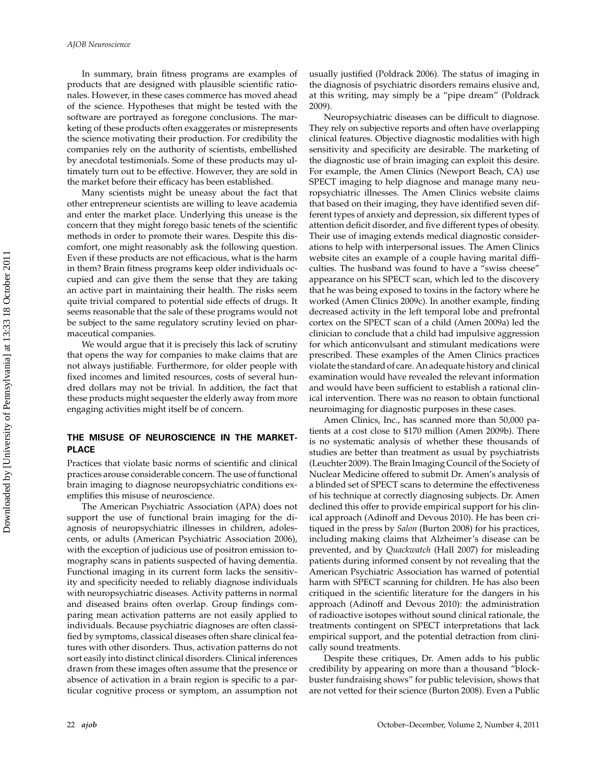In summary, brain fitness programs are examples of products that are designed with plausible scientific rationales. However, in these cases commerce has moved ahead of the science. Hypotheses that might be tested with the software are portrayed as foregone conclusions. The marketing of these products often exaggerates or misrepresents the science motivating their production. For credibility the companies rely on the authority of scientists, embellished by anecdotal testimonials. Some of these products may ultimately turn out to be effective. However, they are sold in the market before their efficacy has been established.

Many scientists might be uneasy about the fact that other entrepreneur scientists are willing to leave academia and enter the market place. Underlying this unease is the concern that they might forego basic tenets of the scientific methods in order to promote their wares. Despite this discomfort, one might reasonably ask the following question. Even if these products are not efficacious, what is the harm in them? Brain fitness programs keep older individuals occupied and can give them the sense that they are taking an active part in maintaining their health. The risks seem quite trivial compared to potential side effects of drugs. It seems reasonable that the sale of these programs would not be subject to the same regulatory scrutiny levied on pharmaceutical companies.

We would argue that it is precisely this lack of scrutiny that opens the way for companies to make claims that are not always justifiable. Furthermore, for older people with fixed incomes and limited resources, costs of several hundred dollars may not be trivial. In addition, the fact that these products might sequester the elderly away from more engaging activities might itself be of concern.

### **THE MISUSE OF NEUROSCIENCE IN THE MARKET-PLACE**

Practices that violate basic norms of scientific and clinical practices arouse considerable concern. The use of functional brain imaging to diagnose neuropsychiatric conditions exemplifies this misuse of neuroscience.

The American Psychiatric Association (APA) does not support the use of functional brain imaging for the diagnosis of neuropsychiatric illnesses in children, adolescents, or adults (American Psychiatric Association 2006), with the exception of judicious use of positron emission tomography scans in patients suspected of having dementia. Functional imaging in its current form lacks the sensitivity and specificity needed to reliably diagnose individuals with neuropsychiatric diseases. Activity patterns in normal and diseased brains often overlap. Group findings comparing mean activation patterns are not easily applied to individuals. Because psychiatric diagnoses are often classified by symptoms, classical diseases often share clinical features with other disorders. Thus, activation patterns do not sort easily into distinct clinical disorders. Clinical inferences drawn from these images often assume that the presence or absence of activation in a brain region is specific to a particular cognitive process or symptom, an assumption not

usually justified (Poldrack 2006). The status of imaging in the diagnosis of psychiatric disorders remains elusive and, at this writing, may simply be a "pipe dream" (Poldrack 2009).

Neuropsychiatric diseases can be difficult to diagnose. They rely on subjective reports and often have overlapping clinical features. Objective diagnostic modalities with high sensitivity and specificity are desirable. The marketing of the diagnostic use of brain imaging can exploit this desire. For example, the Amen Clinics (Newport Beach, CA) use SPECT imaging to help diagnose and manage many neuropsychiatric illnesses. The Amen Clinics website claims that based on their imaging, they have identified seven different types of anxiety and depression, six different types of attention deficit disorder, and five different types of obesity. Their use of imaging extends medical diagnostic considerations to help with interpersonal issues. The Amen Clinics website cites an example of a couple having marital difficulties. The husband was found to have a "swiss cheese" appearance on his SPECT scan, which led to the discovery that he was being exposed to toxins in the factory where he worked (Amen Clinics 2009c). In another example, finding decreased activity in the left temporal lobe and prefrontal cortex on the SPECT scan of a child (Amen 2009a) led the clinician to conclude that a child had impulsive aggression for which anticonvulsant and stimulant medications were prescribed. These examples of the Amen Clinics practices violate the standard of care. An adequate history and clinical examination would have revealed the relevant information and would have been sufficient to establish a rational clinical intervention. There was no reason to obtain functional neuroimaging for diagnostic purposes in these cases.

Amen Clinics, Inc., has scanned more than 50,000 patients at a cost close to \$170 million (Amen 2009b). There is no systematic analysis of whether these thousands of studies are better than treatment as usual by psychiatrists (Leuchter 2009). The Brain Imaging Council of the Society of Nuclear Medicine offered to submit Dr. Amen's analysis of a blinded set of SPECT scans to determine the effectiveness of his technique at correctly diagnosing subjects. Dr. Amen declined this offer to provide empirical support for his clinical approach (Adinoff and Devous 2010). He has been critiqued in the press by *Salon* (Burton 2008) for his practices, including making claims that Alzheimer's disease can be prevented, and by *Quackwatch* (Hall 2007) for misleading patients during informed consent by not revealing that the American Psychiatric Association has warned of potential harm with SPECT scanning for children. He has also been critiqued in the scientific literature for the dangers in his approach (Adinoff and Devous 2010): the administration of radioactive isotopes without sound clinical rationale, the treatments contingent on SPECT interpretations that lack empirical support, and the potential detraction from clinically sound treatments.

Despite these critiques, Dr. Amen adds to his public credibility by appearing on more than a thousand "blockbuster fundraising shows" for public television, shows that are not vetted for their science (Burton 2008). Even a Public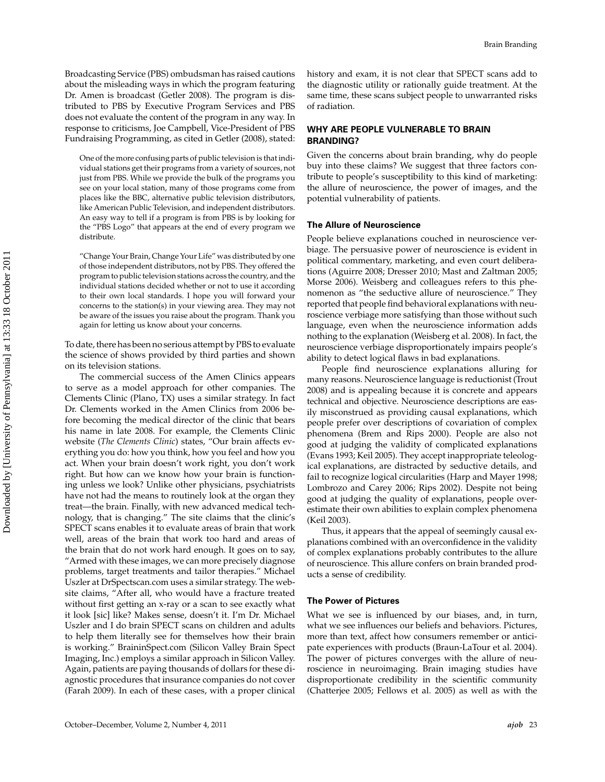Broadcasting Service (PBS) ombudsman has raised cautions about the misleading ways in which the program featuring Dr. Amen is broadcast (Getler 2008). The program is distributed to PBS by Executive Program Services and PBS does not evaluate the content of the program in any way. In response to criticisms, Joe Campbell, Vice-President of PBS Fundraising Programming, as cited in Getler (2008), stated:

One of the more confusing parts of public television is that individual stations get their programs from a variety of sources, not just from PBS. While we provide the bulk of the programs you see on your local station, many of those programs come from places like the BBC, alternative public television distributors, like American Public Television, and independent distributors. An easy way to tell if a program is from PBS is by looking for the "PBS Logo" that appears at the end of every program we distribute.

"Change Your Brain, Change Your Life" was distributed by one of those independent distributors, not by PBS. They offered the program to public television stations across the country, and the individual stations decided whether or not to use it according to their own local standards. I hope you will forward your concerns to the station(s) in your viewing area. They may not be aware of the issues you raise about the program. Thank you again for letting us know about your concerns.

To date, there has been no serious attempt by PBS to evaluate the science of shows provided by third parties and shown on its television stations.

The commercial success of the Amen Clinics appears to serve as a model approach for other companies. The Clements Clinic (Plano, TX) uses a similar strategy. In fact Dr. Clements worked in the Amen Clinics from 2006 before becoming the medical director of the clinic that bears his name in late 2008. For example, the Clements Clinic website (*The Clements Clinic*) states, "Our brain affects everything you do: how you think, how you feel and how you act. When your brain doesn't work right, you don't work right. But how can we know how your brain is functioning unless we look? Unlike other physicians, psychiatrists have not had the means to routinely look at the organ they treat—the brain. Finally, with new advanced medical technology, that is changing." The site claims that the clinic's SPECT scans enables it to evaluate areas of brain that work well, areas of the brain that work too hard and areas of the brain that do not work hard enough. It goes on to say, "Armed with these images, we can more precisely diagnose problems, target treatments and tailor therapies." Michael Uszler at DrSpectscan.com uses a similar strategy. The website claims, "After all, who would have a fracture treated without first getting an x-ray or a scan to see exactly what it look [sic] like? Makes sense, doesn't it. I'm Dr. Michael Uszler and I do brain SPECT scans on children and adults to help them literally see for themselves how their brain is working." BraininSpect.com (Silicon Valley Brain Spect Imaging, Inc.) employs a similar approach in Silicon Valley. Again, patients are paying thousands of dollars for these diagnostic procedures that insurance companies do not cover (Farah 2009). In each of these cases, with a proper clinical history and exam, it is not clear that SPECT scans add to the diagnostic utility or rationally guide treatment. At the same time, these scans subject people to unwarranted risks of radiation.

### **WHY ARE PEOPLE VULNERABLE TO BRAIN BRANDING?**

Given the concerns about brain branding, why do people buy into these claims? We suggest that three factors contribute to people's susceptibility to this kind of marketing: the allure of neuroscience, the power of images, and the potential vulnerability of patients.

#### **The Allure of Neuroscience**

People believe explanations couched in neuroscience verbiage. The persuasive power of neuroscience is evident in political commentary, marketing, and even court deliberations (Aguirre 2008; Dresser 2010; Mast and Zaltman 2005; Morse 2006). Weisberg and colleagues refers to this phenomenon as "the seductive allure of neuroscience." They reported that people find behavioral explanations with neuroscience verbiage more satisfying than those without such language, even when the neuroscience information adds nothing to the explanation (Weisberg et al. 2008). In fact, the neuroscience verbiage disproportionately impairs people's ability to detect logical flaws in bad explanations.

People find neuroscience explanations alluring for many reasons. Neuroscience language is reductionist (Trout 2008) and is appealing because it is concrete and appears technical and objective. Neuroscience descriptions are easily misconstrued as providing causal explanations, which people prefer over descriptions of covariation of complex phenomena (Brem and Rips 2000). People are also not good at judging the validity of complicated explanations (Evans 1993; Keil 2005). They accept inappropriate teleological explanations, are distracted by seductive details, and fail to recognize logical circularities (Harp and Mayer 1998; Lombrozo and Carey 2006; Rips 2002). Despite not being good at judging the quality of explanations, people overestimate their own abilities to explain complex phenomena (Keil 2003).

Thus, it appears that the appeal of seemingly causal explanations combined with an overconfidence in the validity of complex explanations probably contributes to the allure of neuroscience. This allure confers on brain branded products a sense of credibility.

#### **The Power of Pictures**

What we see is influenced by our biases, and, in turn, what we see influences our beliefs and behaviors. Pictures, more than text, affect how consumers remember or anticipate experiences with products (Braun-LaTour et al. 2004). The power of pictures converges with the allure of neuroscience in neuroimaging. Brain imaging studies have disproportionate credibility in the scientific community (Chatterjee 2005; Fellows et al. 2005) as well as with the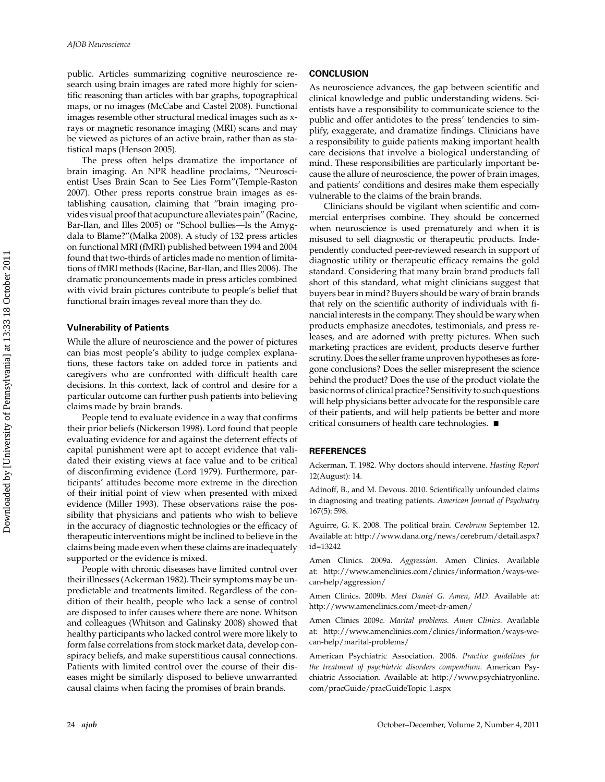public. Articles summarizing cognitive neuroscience research using brain images are rated more highly for scientific reasoning than articles with bar graphs, topographical maps, or no images (McCabe and Castel 2008). Functional images resemble other structural medical images such as xrays or magnetic resonance imaging (MRI) scans and may be viewed as pictures of an active brain, rather than as statistical maps (Henson 2005).

The press often helps dramatize the importance of brain imaging. An NPR headline proclaims, "Neuroscientist Uses Brain Scan to See Lies Form"(Temple-Raston 2007). Other press reports construe brain images as establishing causation, claiming that "brain imaging provides visual proof that acupuncture alleviates pain" (Racine, Bar-Ilan, and Illes 2005) or "School bullies—Is the Amygdala to Blame?"(Malka 2008). A study of 132 press articles on functional MRI (fMRI) published between 1994 and 2004 found that two-thirds of articles made no mention of limitations of fMRI methods (Racine, Bar-Ilan, and Illes 2006). The dramatic pronouncements made in press articles combined with vivid brain pictures contribute to people's belief that functional brain images reveal more than they do.

#### **Vulnerability of Patients**

While the allure of neuroscience and the power of pictures can bias most people's ability to judge complex explanations, these factors take on added force in patients and caregivers who are confronted with difficult health care decisions. In this context, lack of control and desire for a particular outcome can further push patients into believing claims made by brain brands.

People tend to evaluate evidence in a way that confirms their prior beliefs (Nickerson 1998). Lord found that people evaluating evidence for and against the deterrent effects of capital punishment were apt to accept evidence that validated their existing views at face value and to be critical of disconfirming evidence (Lord 1979). Furthermore, participants' attitudes become more extreme in the direction of their initial point of view when presented with mixed evidence (Miller 1993). These observations raise the possibility that physicians and patients who wish to believe in the accuracy of diagnostic technologies or the efficacy of therapeutic interventions might be inclined to believe in the claims being made even when these claims are inadequately supported or the evidence is mixed.

People with chronic diseases have limited control over their illnesses (Ackerman 1982). Their symptoms may be unpredictable and treatments limited. Regardless of the condition of their health, people who lack a sense of control are disposed to infer causes where there are none. Whitson and colleagues (Whitson and Galinsky 2008) showed that healthy participants who lacked control were more likely to form false correlations from stock market data, develop conspiracy beliefs, and make superstitious causal connections. Patients with limited control over the course of their diseases might be similarly disposed to believe unwarranted causal claims when facing the promises of brain brands.

#### **CONCLUSION**

As neuroscience advances, the gap between scientific and clinical knowledge and public understanding widens. Scientists have a responsibility to communicate science to the public and offer antidotes to the press' tendencies to simplify, exaggerate, and dramatize findings. Clinicians have a responsibility to guide patients making important health care decisions that involve a biological understanding of mind. These responsibilities are particularly important because the allure of neuroscience, the power of brain images, and patients' conditions and desires make them especially vulnerable to the claims of the brain brands.

Clinicians should be vigilant when scientific and commercial enterprises combine. They should be concerned when neuroscience is used prematurely and when it is misused to sell diagnostic or therapeutic products. Independently conducted peer-reviewed research in support of diagnostic utility or therapeutic efficacy remains the gold standard. Considering that many brain brand products fall short of this standard, what might clinicians suggest that buyers bear in mind? Buyers should be wary of brain brands that rely on the scientific authority of individuals with financial interests in the company. They should be wary when products emphasize anecdotes, testimonials, and press releases, and are adorned with pretty pictures. When such marketing practices are evident, products deserve further scrutiny. Does the seller frame unproven hypotheses as foregone conclusions? Does the seller misrepresent the science behind the product? Does the use of the product violate the basic norms of clinical practice? Sensitivity to such questions will help physicians better advocate for the responsible care of their patients, and will help patients be better and more critical consumers of health care technologies.

#### **REFERENCES**

Ackerman, T. 1982. Why doctors should intervene. *Hasting Report* 12(August): 14.

Adinoff, B., and M. Devous. 2010. Scientifically unfounded claims in diagnosing and treating patients. *American Journal of Psychiatry* 167(5): 598.

Aguirre, G. K. 2008. The political brain. *Cerebrum* September 12. Available at: http://www.dana.org/news/cerebrum/detail.aspx? id=13242

Amen Clinics. 2009a. *Aggression*. Amen Clinics. Available at: http://www.amenclinics.com/clinics/information/ways-wecan-help/aggression/

Amen Clinics. 2009b. *Meet Daniel G. Amen, MD*. Available at: http://www.amenclinics.com/meet-dr-amen/

Amen Clinics 2009c. *Marital problems. Amen Clinics*. Available at: http://www.amenclinics.com/clinics/information/ways-wecan-help/marital-problems/

American Psychiatric Association. 2006. *Practice guidelines for the treatment of psychiatric disorders compendium*. American Psychiatric Association. Available at: http://www.psychiatryonline. com/pracGuide/pracGuideTopic 1.aspx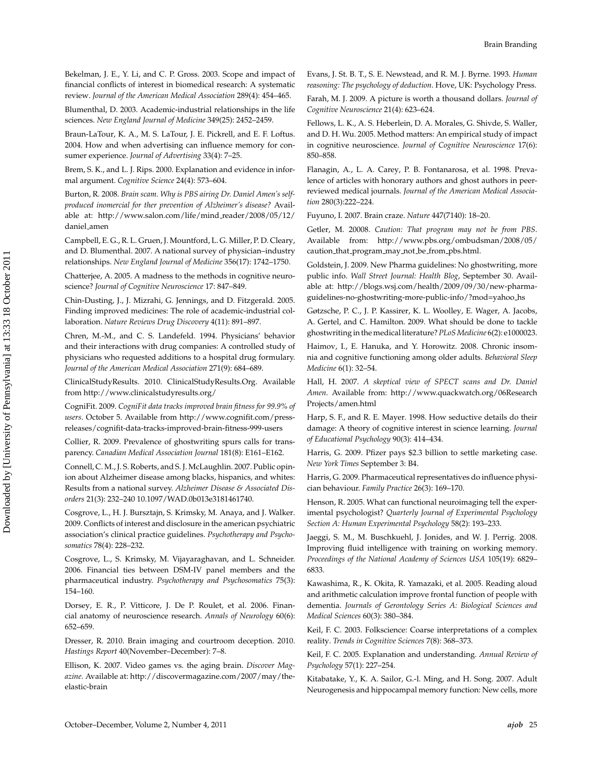Bekelman, J. E., Y. Li, and C. P. Gross. 2003. Scope and impact of financial conflicts of interest in biomedical research: A systematic review. *Journal of the American Medical Association* 289(4): 454–465.

Blumenthal, D. 2003. Academic-industrial relationships in the life sciences. *New England Journal of Medicine* 349(25): 2452–2459.

Braun-LaTour, K. A., M. S. LaTour, J. E. Pickrell, and E. F. Loftus. 2004. How and when advertising can influence memory for consumer experience. *Journal of Advertising* 33(4): 7–25.

Brem, S. K., and L. J. Rips. 2000. Explanation and evidence in informal argument. *Cognitive Science* 24(4): 573–604.

Burton, R. 2008. *Brain scam. Why is PBS airing Dr. Daniel Amen's selfproduced inomercial for ther prevention of Alzheimer's disease?* Available at: http://www.salon.com/life/mind reader/2008/05/12/ daniel amen

Campbell, E. G., R. L. Gruen, J. Mountford, L. G. Miller, P. D. Cleary, and D. Blumenthal. 2007. A national survey of physician–industry relationships. *New England Journal of Medicine* 356(17): 1742–1750.

Chatterjee, A. 2005. A madness to the methods in cognitive neuroscience? *Journal of Cognitive Neuroscience* 17: 847–849.

Chin-Dusting, J., J. Mizrahi, G. Jennings, and D. Fitzgerald. 2005. Finding improved medicines: The role of academic-industrial collaboration. *Nature Reviews Drug Discovery* 4(11): 891–897.

Chren, M.-M., and C. S. Landefeld. 1994. Physicians' behavior and their interactions with drug companies: A controlled study of physicians who requested additions to a hospital drug formulary. *Journal of the American Medical Association* 271(9): 684–689.

ClinicalStudyResults. 2010. ClinicalStudyResults.Org. Available from http://www.clinicalstudyresults.org/

CogniFit. 2009. *CogniFit data tracks improved brain fitness for 99.9% of users*. October 5. Available from http://www.cognifit.com/pressreleases/cognifit-data-tracks-improved-brain-fitness-999-users

Collier, R. 2009. Prevalence of ghostwriting spurs calls for transparency. *Canadian Medical Association Journal* 181(8): E161–E162.

Connell, C. M., J. S. Roberts, and S. J. McLaughlin. 2007. Public opinion about Alzheimer disease among blacks, hispanics, and whites: Results from a national survey. *Alzheimer Disease & Associated Disorders* 21(3): 232–240 10.1097/WAD.0b013e3181461740.

Cosgrove, L., H. J. Bursztajn, S. Krimsky, M. Anaya, and J. Walker. 2009. Conflicts of interest and disclosure in the american psychiatric association's clinical practice guidelines. *Psychotherapy and Psychosomatics* 78(4): 228–232.

Cosgrove, L., S. Krimsky, M. Vijayaraghavan, and L. Schneider. 2006. Financial ties between DSM-IV panel members and the pharmaceutical industry. *Psychotherapy and Psychosomatics* 75(3): 154–160.

Dorsey, E. R., P. Vitticore, J. De P. Roulet, et al. 2006. Financial anatomy of neuroscience research. *Annals of Neurology* 60(6): 652–659.

Dresser, R. 2010. Brain imaging and courtroom deception. 2010. *Hastings Report* 40(November–December): 7–8.

Ellison, K. 2007. Video games vs. the aging brain. *Discover Magazine*. Available at: http://discovermagazine.com/2007/may/theelastic-brain

Evans, J. St. B. T., S. E. Newstead, and R. M. J. Byrne. 1993. *Human reasoning: The psychology of deduction*. Hove, UK: Psychology Press.

Farah, M. J. 2009. A picture is worth a thousand dollars. *Journal of Cognitive Neuroscience* 21(4): 623–624.

Fellows, L. K., A. S. Heberlein, D. A. Morales, G. Shivde, S. Waller, and D. H. Wu. 2005. Method matters: An empirical study of impact in cognitive neuroscience. *Journal of Cognitive Neuroscience* 17(6): 850–858.

Flanagin, A., L. A. Carey, P. B. Fontanarosa, et al. 1998. Prevalence of articles with honorary authors and ghost authors in peerreviewed medical journals. *Journal of the American Medical Association* 280(3):222–224.

Fuyuno, I. 2007. Brain craze. *Nature* 447(7140): 18–20.

Getler, M. 20008. *Caution: That program may not be from PBS*. Available from: http://www.pbs.org/ombudsman/2008/05/ caution\_that\_program\_may\_not\_be\_from\_pbs.html.

Goldstein, J. 2009. New Pharma guidelines: No ghostwriting, more public info. *Wall Street Journal: Health Blog*, September 30. Available at: http://blogs.wsj.com/health/2009/09/30/new-pharmaguidelines-no-ghostwriting-more-public-info/?mod=yahoo hs

Gøtzsche, P. C., J. P. Kassirer, K. L. Woolley, E. Wager, A. Jacobs, A. Gertel, and C. Hamilton. 2009. What should be done to tackle ghostwriting in the medical literature?*PLoSMedicine* 6(2): e1000023.

Haimov, I., E. Hanuka, and Y. Horowitz. 2008. Chronic insomnia and cognitive functioning among older adults. *Behavioral Sleep Medicine* 6(1): 32–54.

Hall, H. 2007. *A skeptical view of SPECT scans and Dr. Daniel Amen*. Available from: http://www.quackwatch.org/06Research Projects/amen.html

Harp, S. F., and R. E. Mayer. 1998. How seductive details do their damage: A theory of cognitive interest in science learning. *Journal of Educational Psychology* 90(3): 414–434.

Harris, G. 2009. Pfizer pays \$2.3 billion to settle marketing case. *New York Times* September 3: B4.

Harris, G. 2009. Pharmaceutical representatives do influence physician behaviour. *Family Practice* 26(3): 169–170.

Henson, R. 2005. What can functional neuroimaging tell the experimental psychologist? *Quarterly Journal of Experimental Psychology Section A: Human Experimental Psychology* 58(2): 193–233.

Jaeggi, S. M., M. Buschkuehl, J. Jonides, and W. J. Perrig. 2008. Improving fluid intelligence with training on working memory. *Proceedings of the National Academy of Sciences USA* 105(19): 6829– 6833.

Kawashima, R., K. Okita, R. Yamazaki, et al. 2005. Reading aloud and arithmetic calculation improve frontal function of people with dementia. *Journals of Gerontology Series A: Biological Sciences and Medical Sciences* 60(3): 380–384.

Keil, F. C. 2003. Folkscience: Coarse interpretations of a complex reality. *Trends in Cognitive Sciences* 7(8): 368–373.

Keil, F. C. 2005. Explanation and understanding. *Annual Review of Psychology* 57(1): 227–254.

Kitabatake, Y., K. A. Sailor, G.-l. Ming, and H. Song. 2007. Adult Neurogenesis and hippocampal memory function: New cells, more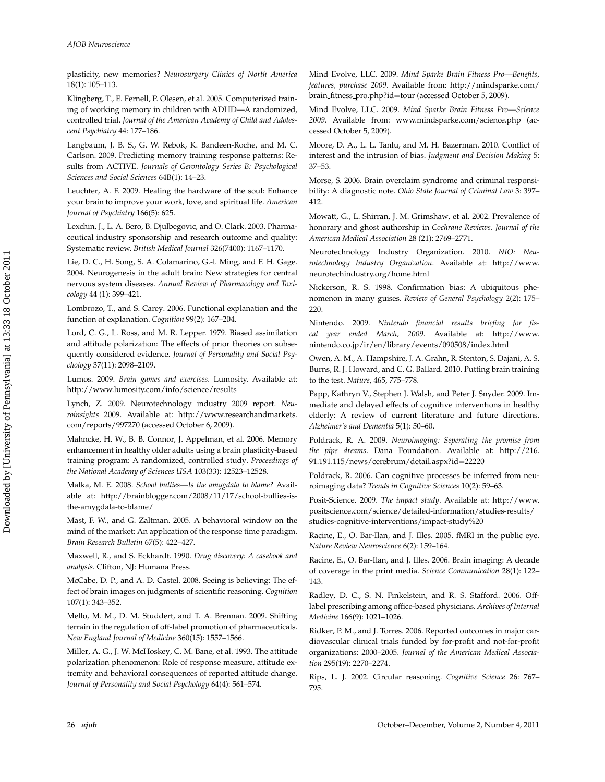plasticity, new memories? *Neurosurgery Clinics of North America* 18(1): 105–113.

Klingberg, T., E. Fernell, P. Olesen, et al. 2005. Computerized training of working memory in children with ADHD—A randomized, controlled trial. *Journal of the American Academy of Child and Adolescent Psychiatry* 44: 177–186.

Langbaum, J. B. S., G. W. Rebok, K. Bandeen-Roche, and M. C. Carlson. 2009. Predicting memory training response patterns: Results from ACTIVE. *Journals of Gerontology Series B: Psychological Sciences and Social Sciences* 64B(1): 14–23.

Leuchter, A. F. 2009. Healing the hardware of the soul: Enhance your brain to improve your work, love, and spiritual life. *American Journal of Psychiatry* 166(5): 625.

Lexchin, J., L. A. Bero, B. Djulbegovic, and O. Clark. 2003. Pharmaceutical industry sponsorship and research outcome and quality: Systematic review. *British Medical Journal* 326(7400): 1167–1170.

Lie, D. C., H. Song, S. A. Colamarino, G.-l. Ming, and F. H. Gage. 2004. Neurogenesis in the adult brain: New strategies for central nervous system diseases. *Annual Review of Pharmacology and Toxicology* 44 (1): 399–421.

Lombrozo, T., and S. Carey. 2006. Functional explanation and the function of explanation. *Cognition* 99(2): 167–204.

Lord, C. G., L. Ross, and M. R. Lepper. 1979. Biased assimilation and attitude polarization: The effects of prior theories on subsequently considered evidence. *Journal of Personality and Social Psychology* 37(11): 2098–2109.

Lumos. 2009. *Brain games and exercises*. Lumosity. Available at: http://www.lumosity.com/info/science/results

Lynch, Z. 2009. Neurotechnology industry 2009 report. *Neuroinsights* 2009. Available at: http://www.researchandmarkets. com/reports/997270 (accessed October 6, 2009).

Mahncke, H. W., B. B. Connor, J. Appelman, et al. 2006. Memory enhancement in healthy older adults using a brain plasticity-based training program: A randomized, controlled study. *Proceedings of the National Academy of Sciences USA* 103(33): 12523–12528.

Malka, M. E. 2008. *School bullies—Is the amygdala to blame?* Available at: http://brainblogger.com/2008/11/17/school-bullies-isthe-amygdala-to-blame/

Mast, F. W., and G. Zaltman. 2005. A behavioral window on the mind of the market: An application of the response time paradigm. *Brain Research Bulletin* 67(5): 422–427.

Maxwell, R., and S. Eckhardt. 1990. *Drug discovery: A casebook and analysis*. Clifton, NJ: Humana Press.

McCabe, D. P., and A. D. Castel. 2008. Seeing is believing: The effect of brain images on judgments of scientific reasoning. *Cognition* 107(1): 343–352.

Mello, M. M., D. M. Studdert, and T. A. Brennan. 2009. Shifting terrain in the regulation of off-label promotion of pharmaceuticals. *New England Journal of Medicine* 360(15): 1557–1566.

Miller, A. G., J. W. McHoskey, C. M. Bane, et al. 1993. The attitude polarization phenomenon: Role of response measure, attitude extremity and behavioral consequences of reported attitude change. *Journal of Personality and Social Psychology* 64(4): 561–574.

Mind Evolve, LLC. 2009. *Mind Sparke Brain Fitness Pro—Benefits, features, purchase 2009*. Available from: http://mindsparke.com/ brain fitness pro.php?id=tour (accessed October 5, 2009).

Mind Evolve, LLC. 2009. *Mind Sparke Brain Fitness Pro—Science 2009*. Available from: www.mindsparke.com/science.php (accessed October 5, 2009).

Moore, D. A., L. L. Tanlu, and M. H. Bazerman. 2010. Conflict of interest and the intrusion of bias. *Judgment and Decision Making* 5: 37–53.

Morse, S. 2006. Brain overclaim syndrome and criminal responsibility: A diagnostic note. *Ohio State Journal of Criminal Law* 3: 397– 412.

Mowatt, G., L. Shirran, J. M. Grimshaw, et al. 2002. Prevalence of honorary and ghost authorship in *Cochrane Reviews*. *Journal of the American Medical Association* 28 (21): 2769–2771.

Neurotechnology Industry Organization. 2010. *NIO: Neurotechnology Industry Organization*. Available at: http://www. neurotechindustry.org/home.html

Nickerson, R. S. 1998. Confirmation bias: A ubiquitous phenomenon in many guises. *Review of General Psychology* 2(2): 175– 220.

Nintendo. 2009. *Nintendo financial results briefing for fiscal year ended March, 2009*. Available at: http://www. nintendo.co.jp/ir/en/library/events/090508/index.html

Owen, A. M., A. Hampshire, J. A. Grahn, R. Stenton, S. Dajani, A. S. Burns, R. J. Howard, and C. G. Ballard. 2010. Putting brain training to the test. *Nature*, 465, 775–778.

Papp, Kathryn V., Stephen J. Walsh, and Peter J. Snyder. 2009. Immediate and delayed effects of cognitive interventions in healthy elderly: A review of current literature and future directions. *Alzheimer's and Dementia* 5(1): 50–60.

Poldrack, R. A. 2009. *Neuroimaging: Seperating the promise from the pipe dreams*. Dana Foundation. Available at: http://216. 91.191.115/news/cerebrum/detail.aspx?id=22220

Poldrack, R. 2006. Can cognitive processes be inferred from neuroimaging data? *Trends in Cognitive Sciences* 10(2): 59–63.

Posit-Science. 2009. *The impact study*. Available at: http://www. positscience.com/science/detailed-information/studies-results/ studies-cognitive-interventions/impact-study%20

Racine, E., O. Bar-Ilan, and J. Illes. 2005. fMRI in the public eye. *Nature Review Neuroscience* 6(2): 159–164.

Racine, E., O. Bar-Ilan, and J. Illes. 2006. Brain imaging: A decade of coverage in the print media. *Science Communication* 28(1): 122– 143.

Radley, D. C., S. N. Finkelstein, and R. S. Stafford. 2006. Offlabel prescribing among office-based physicians. *Archives of Internal Medicine* 166(9): 1021–1026.

Ridker, P. M., and J. Torres. 2006. Reported outcomes in major cardiovascular clinical trials funded by for-profit and not-for-profit organizations: 2000–2005. *Journal of the American Medical Association* 295(19): 2270–2274.

Rips, L. J. 2002. Circular reasoning. *Cognitive Science* 26: 767– 795.